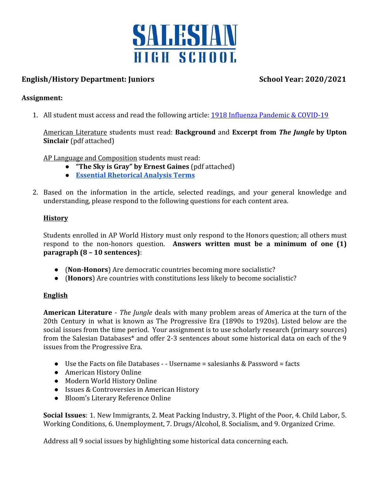

# **English/History Department: Juniors School Year: 2020/2021**

#### **Assignment:**

1. All student must access and read the following article: [1918 Influenza Pandemic & COVID-19](https://www.pbs.org/wgbh/americanexperience/features/1918-influenza-pandemic-and-covid-19/)

American Literature students must read: **Background** and **Excerpt from** *The Jungle* **by Upton Sinclair** (pdf attached)

AP Language and Composition students must read:

- **"The Sky is Gray" by Ernest Gaines** (pdf attached)
- **[Essential Rhetorical Analysis Terms](https://blog.prepscholar.com/ap-language-and-composition-terms)**
- 2. Based on the information in the article, selected readings, and your general knowledge and understanding, please respond to the following questions for each content area.

### **History**

Students enrolled in AP World History must only respond to the Honors question; all others must respond to the non-honors question. **Answers written must be a minimum of one (1) paragraph (8 – 10 sentences)**:

- (**Non-Honors**) Are democratic countries becoming more socialistic?
- (**Honors**) Are countries with constitutions less likely to become socialistic?

#### **English**

**American Literature** - *The Jungle* deals with many problem areas of America at the turn of the 20th Century in what is known as The Progressive Era (1890s to 1920s). Listed below are the social issues from the time period. Your assignment is to use scholarly research (primary sources) from the Salesian Databases\* and offer 2-3 sentences about some historical data on each of the 9 issues from the Progressive Era.

- Use the Facts on file Databases - Username = salesianhs & Password = facts
- American History Online
- Modern World History Online
- Issues & Controversies in American History
- Bloom's Literary Reference Online

**Social Issues**: 1. New Immigrants, 2. Meat Packing Industry, 3. Plight of the Poor, 4. Child Labor, 5. Working Conditions, 6. Unemployment, 7. Drugs/Alcohol, 8. Socialism, and 9. Organized Crime.

Address all 9 social issues by highlighting some historical data concerning each.